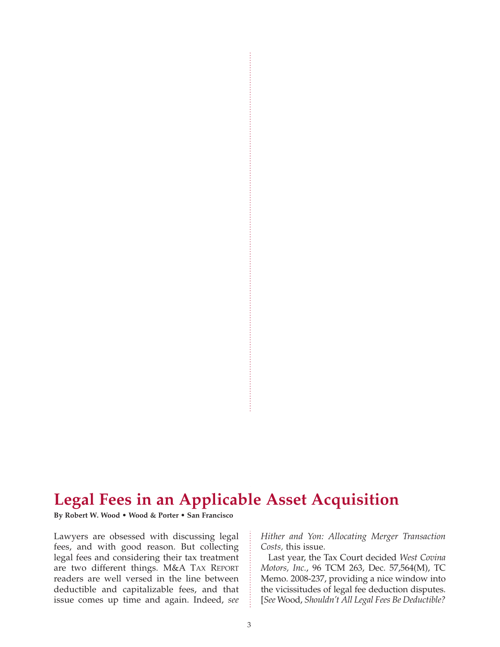# **Legal Fees in an Applicable Asset Acquisition**

**By Robert W. Wood • Wood & Porter • San Francisco**

Lawyers are obsessed with discussing legal fees, and with good reason. But collecting legal fees and considering their tax treatment are two different things. M&A TAX REPORT readers are well versed in the line between deductible and capitalizable fees, and that issue comes up time and again. Indeed, *see*

*Hither and Yon: Allocating Merger Transaction Costs,* this issue.

Last year, the Tax Court decided *West Covina Motors, Inc.*, 96 TCM 263, Dec. 57,564(M), TC Memo. 2008-237, providing a nice window into the vicissitudes of legal fee deduction disputes. [*See* Wood, *Shouldn't All Legal Fees Be Deductible?*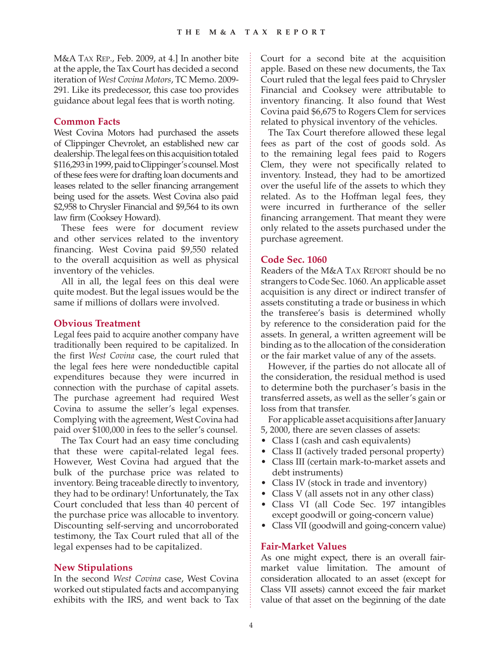M&A TAX REP., Feb. 2009, at 4.] In another bite at the apple, the Tax Court has decided a second iteration of *West Covina Motors*, TC Memo. 2009- 291. Like its predecessor, this case too provides guidance about legal fees that is worth noting.

## **Common Facts**

West Covina Motors had purchased the assets of Clippinger Chevrolet, an established new car dealership. The legal fees on this acquisition totaled \$116,293 in 1999, paid to Clippinger's counsel. Most of these fees were for drafting loan documents and leases related to the seller financing arrangement being used for the assets. West Covina also paid \$2,958 to Chrysler Financial and \$9,564 to its own law firm (Cooksey Howard).

These fees were for document review and other services related to the inventory financing. West Covina paid \$9,550 related to the overall acquisition as well as physical inventory of the vehicles.

All in all, the legal fees on this deal were quite modest. But the legal issues would be the same if millions of dollars were involved.

## **Obvious Treatment**

Legal fees paid to acquire another company have traditionally been required to be capitalized. In the first *West Covina* case, the court ruled that the legal fees here were nondeductible capital expenditures because they were incurred in connection with the purchase of capital assets. The purchase agreement had required West Covina to assume the seller's legal expenses. Complying with the agreement, West Covina had paid over \$100,000 in fees to the seller's counsel.

The Tax Court had an easy time concluding that these were capital-related legal fees. However, West Covina had argued that the bulk of the purchase price was related to inventory. Being traceable directly to inventory, they had to be ordinary! Unfortunately, the Tax Court concluded that less than 40 percent of the purchase price was allocable to inventory. Discounting self-serving and uncorroborated testimony, the Tax Court ruled that all of the legal expenses had to be capitalized.

# **New Stipulations**

In the second *West Covina* case, West Covina worked out stipulated facts and accompanying exhibits with the IRS, and went back to Tax Court for a second bite at the acquisition apple. Based on these new documents, the Tax Court ruled that the legal fees paid to Chrysler Financial and Cooksey were attributable to inventory financing. It also found that West Covina paid \$6,675 to Rogers Clem for services related to physical inventory of the vehicles.

The Tax Court therefore allowed these legal fees as part of the cost of goods sold. As to the remaining legal fees paid to Rogers Clem, they were not specifically related to inventory. Instead, they had to be amortized over the useful life of the assets to which they related. As to the Hoffman legal fees, they were incurred in furtherance of the seller financing arrangement. That meant they were only related to the assets purchased under the purchase agreement.

## **Code Sec. 1060**

Readers of the M&A TAX REPORT should be no strangers to Code Sec. 1060. An applicable asset acquisition is any direct or indirect transfer of assets constituting a trade or business in which the transferee's basis is determined wholly by reference to the consideration paid for the assets. In general, a written agreement will be binding as to the allocation of the consideration or the fair market value of any of the assets.

However, if the parties do not allocate all of the consideration, the residual method is used to determine both the purchaser's basis in the transferred assets, as well as the seller's gain or loss from that transfer.

For applicable asset acquisitions after January 5, 2000, there are seven classes of assets:

- Class I (cash and cash equivalents)
- Class II (actively traded personal property)
- Class III (certain mark-to-market assets and debt instruments)
- Class IV (stock in trade and inventory)
- Class V (all assets not in any other class)
- Class VI (all Code Sec. 197 intangibles except goodwill or going-concern value)
- Class VII (goodwill and going-concern value)

#### **Fair-Market Values**

As one might expect, there is an overall fairmarket value limitation. The amount of consideration allocated to an asset (except for Class VII assets) cannot exceed the fair market value of that asset on the beginning of the date